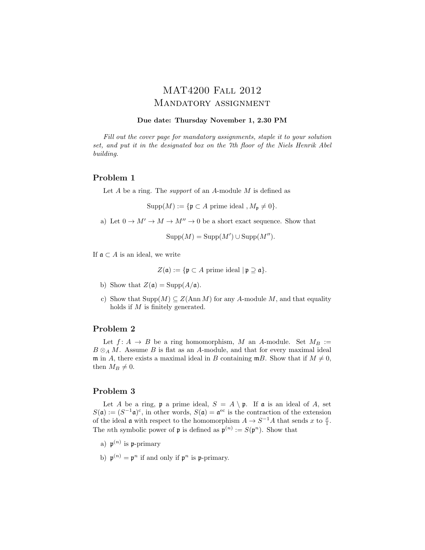# MAT4200 Fall 2012 Mandatory assignment

#### Due date: Thursday November 1, 2.30 PM

Fill out the cover page for mandatory assignments, staple it to your solution set, and put it in the designated box on the 7th floor of the Niels Henrik Abel building.

#### Problem 1

Let  $A$  be a ring. The *support* of an  $A$ -module  $M$  is defined as

 $\text{Supp}(M) := \{ \mathfrak{p} \subset A \text{ prime ideal }, M_{\mathfrak{p}} \neq 0 \}.$ 

a) Let  $0 \to M' \to M \to M'' \to 0$  be a short exact sequence. Show that

$$
Supp(M) = Supp(M') \cup Supp(M'').
$$

If  $\mathfrak{a} \subset A$  is an ideal, we write

 $Z(\mathfrak{a}) := \{ \mathfrak{p} \subset A \text{ prime ideal } | \mathfrak{p} \supseteq \mathfrak{a} \}.$ 

- b) Show that  $Z(\mathfrak{a}) = \text{Supp}(A/\mathfrak{a})$ .
- c) Show that  $\text{Supp}(M) \subseteq Z(\text{Ann }M)$  for any A-module M, and that equality holds if M is finitely generated.

## Problem 2

Let  $f: A \rightarrow B$  be a ring homomorphism, M an A-module. Set  $M_B :=$  $B \otimes_A M$ . Assume B is flat as an A-module, and that for every maximal ideal m in A, there exists a maximal ideal in B containing  $mB$ . Show that if  $M \neq 0$ , then  $M_B \neq 0$ .

## Problem 3

Let A be a ring,  $\mathfrak p$  a prime ideal,  $S = A \setminus \mathfrak p$ . If a is an ideal of A, set  $S(\mathfrak{a}) := (S^{-1}\mathfrak{a})^c$ , in other words,  $S(\mathfrak{a}) = \mathfrak{a}^{ec}$  is the contraction of the extension of the ideal  $\mathfrak a$  with respect to the homomorphism  $A \to S^{-1}A$  that sends x to  $\frac{x}{1}$ . The *n*th symbolic power of **p** is defined as  $\mathfrak{p}^{(n)} := S(\mathfrak{p}^n)$ . Show that

- a)  $\mathfrak{p}^{(n)}$  is p-primary
- b)  $\mathfrak{p}^{(n)} = \mathfrak{p}^n$  if and only if  $\mathfrak{p}^n$  is p-primary.